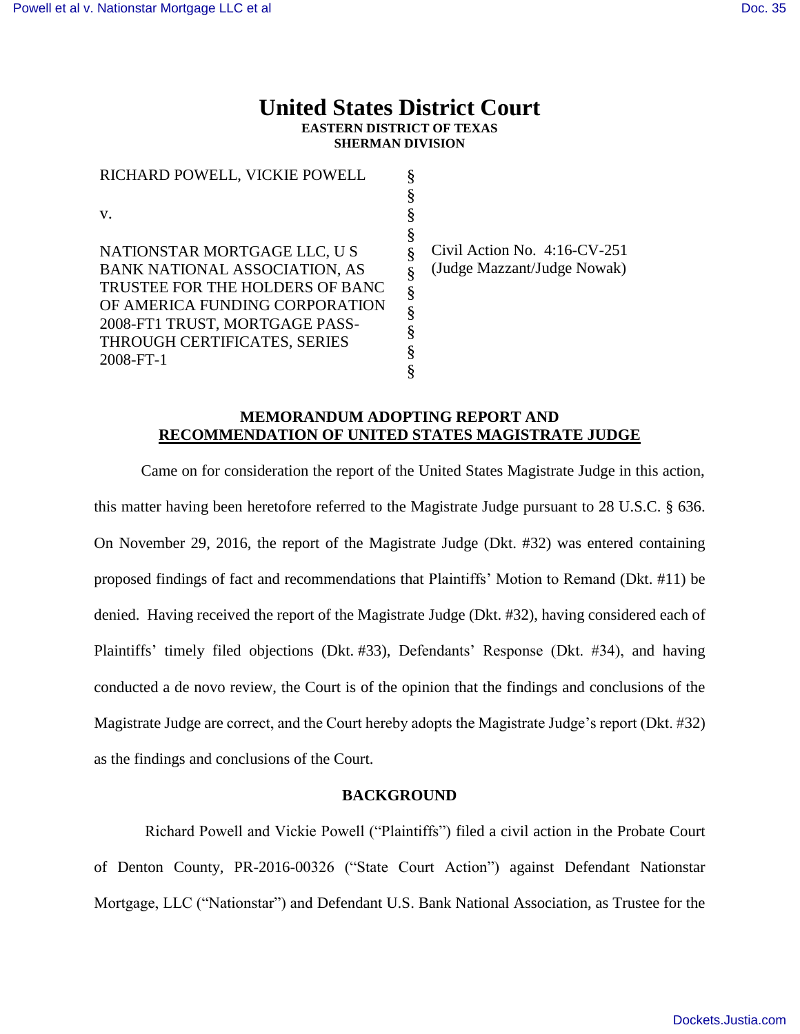# **United States District Court EASTERN DISTRICT OF TEXAS SHERMAN DIVISION**

| RICHARD POWELL, VICKIE POWELL                                     |   |         |
|-------------------------------------------------------------------|---|---------|
| V.                                                                |   |         |
| NATIONSTAR MORTGAGE LLC, U S                                      | ş | Civil A |
| <b>BANK NATIONAL ASSOCIATION, AS</b>                              |   | (Judge  |
| TRUSTEE FOR THE HOLDERS OF BANC<br>OF AMERICA FUNDING CORPORATION |   |         |
| 2008-FT1 TRUST, MORTGAGE PASS-                                    | § |         |
| THROUGH CERTIFICATES, SERIES<br>2008-FT-1                         |   |         |
|                                                                   |   |         |

ction No. 4:16-CV-251 Mazzant/Judge Nowak)

## **MEMORANDUM ADOPTING REPORT AND RECOMMENDATION OF UNITED STATES MAGISTRATE JUDGE**

Came on for consideration the report of the United States Magistrate Judge in this action, this matter having been heretofore referred to the Magistrate Judge pursuant to 28 U.S.C. § 636. On November 29, 2016, the report of the Magistrate Judge (Dkt. #32) was entered containing proposed findings of fact and recommendations that Plaintiffs' Motion to Remand (Dkt. #11) be denied. Having received the report of the Magistrate Judge (Dkt. #32), having considered each of Plaintiffs' timely filed objections (Dkt. #33), Defendants' Response (Dkt. #34), and having conducted a de novo review, the Court is of the opinion that the findings and conclusions of the Magistrate Judge are correct, and the Court hereby adopts the Magistrate Judge's report (Dkt. #32) as the findings and conclusions of the Court.

### **BACKGROUND**

Richard Powell and Vickie Powell ("Plaintiffs") filed a civil action in the Probate Court of Denton County, PR-2016-00326 ("State Court Action") against Defendant Nationstar Mortgage, LLC ("Nationstar") and Defendant U.S. Bank National Association, as Trustee for the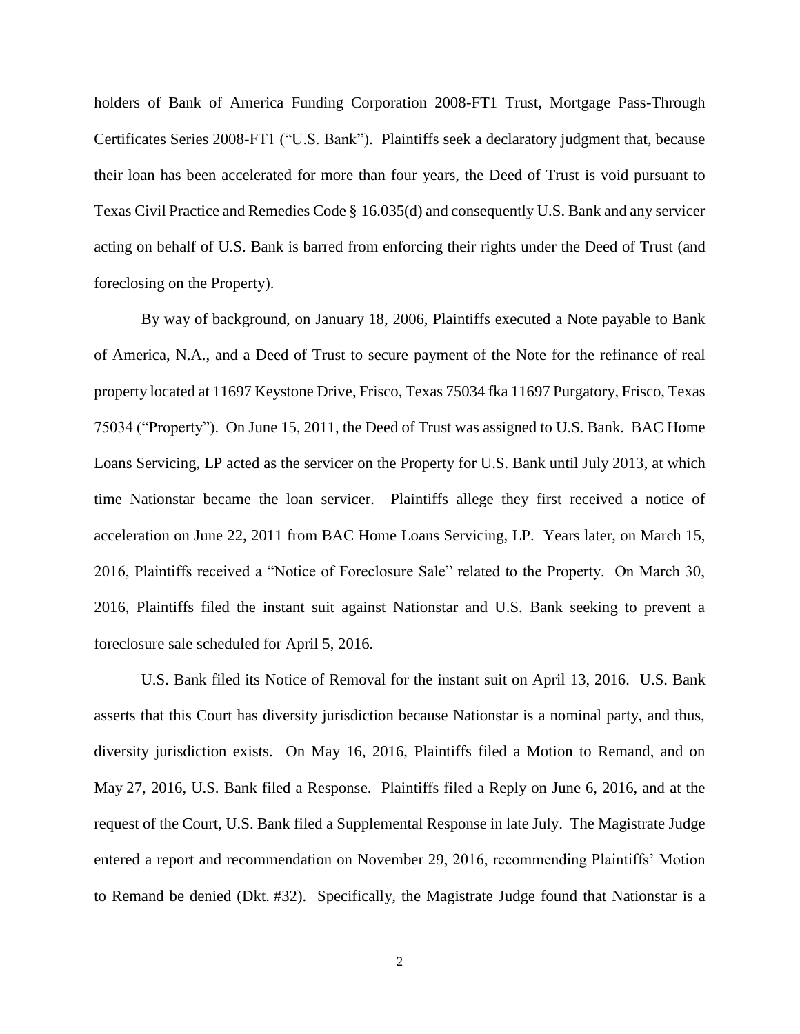holders of Bank of America Funding Corporation 2008-FT1 Trust, Mortgage Pass-Through Certificates Series 2008-FT1 ("U.S. Bank"). Plaintiffs seek a declaratory judgment that, because their loan has been accelerated for more than four years, the Deed of Trust is void pursuant to Texas Civil Practice and Remedies Code § 16.035(d) and consequently U.S. Bank and any servicer acting on behalf of U.S. Bank is barred from enforcing their rights under the Deed of Trust (and foreclosing on the Property).

By way of background, on January 18, 2006, Plaintiffs executed a Note payable to Bank of America, N.A., and a Deed of Trust to secure payment of the Note for the refinance of real property located at 11697 Keystone Drive, Frisco, Texas 75034 fka 11697 Purgatory, Frisco, Texas 75034 ("Property"). On June 15, 2011, the Deed of Trust was assigned to U.S. Bank. BAC Home Loans Servicing, LP acted as the servicer on the Property for U.S. Bank until July 2013, at which time Nationstar became the loan servicer. Plaintiffs allege they first received a notice of acceleration on June 22, 2011 from BAC Home Loans Servicing, LP. Years later, on March 15, 2016, Plaintiffs received a "Notice of Foreclosure Sale" related to the Property. On March 30, 2016, Plaintiffs filed the instant suit against Nationstar and U.S. Bank seeking to prevent a foreclosure sale scheduled for April 5, 2016.

U.S. Bank filed its Notice of Removal for the instant suit on April 13, 2016. U.S. Bank asserts that this Court has diversity jurisdiction because Nationstar is a nominal party, and thus, diversity jurisdiction exists. On May 16, 2016, Plaintiffs filed a Motion to Remand, and on May 27, 2016, U.S. Bank filed a Response. Plaintiffs filed a Reply on June 6, 2016, and at the request of the Court, U.S. Bank filed a Supplemental Response in late July. The Magistrate Judge entered a report and recommendation on November 29, 2016, recommending Plaintiffs' Motion to Remand be denied (Dkt. #32). Specifically, the Magistrate Judge found that Nationstar is a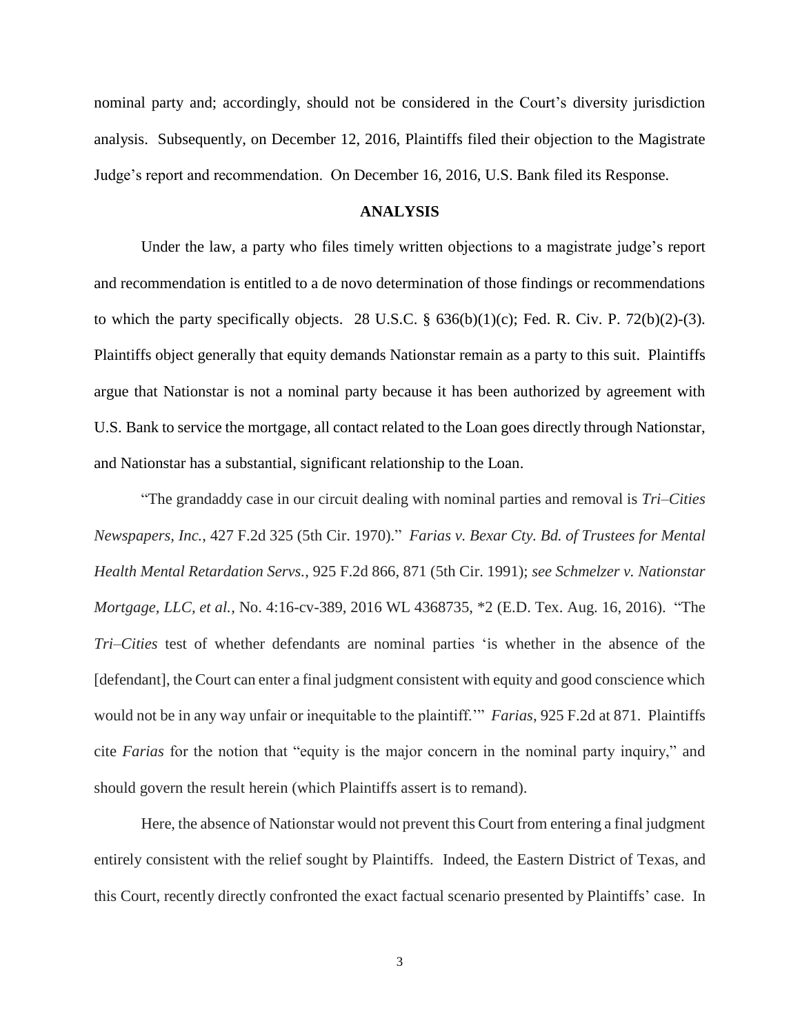nominal party and; accordingly, should not be considered in the Court's diversity jurisdiction analysis. Subsequently, on December 12, 2016, Plaintiffs filed their objection to the Magistrate Judge's report and recommendation. On December 16, 2016, U.S. Bank filed its Response.

#### **ANALYSIS**

Under the law, a party who files timely written objections to a magistrate judge's report and recommendation is entitled to a de novo determination of those findings or recommendations to which the party specifically objects. 28 U.S.C.  $\S$  636(b)(1)(c); Fed. R. Civ. P. 72(b)(2)-(3). Plaintiffs object generally that equity demands Nationstar remain as a party to this suit. Plaintiffs argue that Nationstar is not a nominal party because it has been authorized by agreement with U.S. Bank to service the mortgage, all contact related to the Loan goes directly through Nationstar, and Nationstar has a substantial, significant relationship to the Loan.

"The grandaddy case in our circuit dealing with nominal parties and removal is *Tri–Cities Newspapers, Inc.*, 427 F.2d 325 (5th Cir. 1970)." *Farias v. Bexar Cty. Bd. of Trustees for Mental Health Mental Retardation Servs.*, 925 F.2d 866, 871 (5th Cir. 1991); *see Schmelzer v. Nationstar Mortgage, LLC, et al.*, No. 4:16-cv-389, 2016 WL 4368735, \*2 (E.D. Tex. Aug. 16, 2016). "The *Tri–Cities* test of whether defendants are nominal parties 'is whether in the absence of the [defendant], the Court can enter a final judgment consistent with equity and good conscience which would not be in any way unfair or inequitable to the plaintiff.'" *Farias*, 925 F.2d at 871. Plaintiffs cite *Farias* for the notion that "equity is the major concern in the nominal party inquiry," and should govern the result herein (which Plaintiffs assert is to remand).

Here, the absence of Nationstar would not prevent this Court from entering a final judgment entirely consistent with the relief sought by Plaintiffs. Indeed, the Eastern District of Texas, and this Court, recently directly confronted the exact factual scenario presented by Plaintiffs' case. In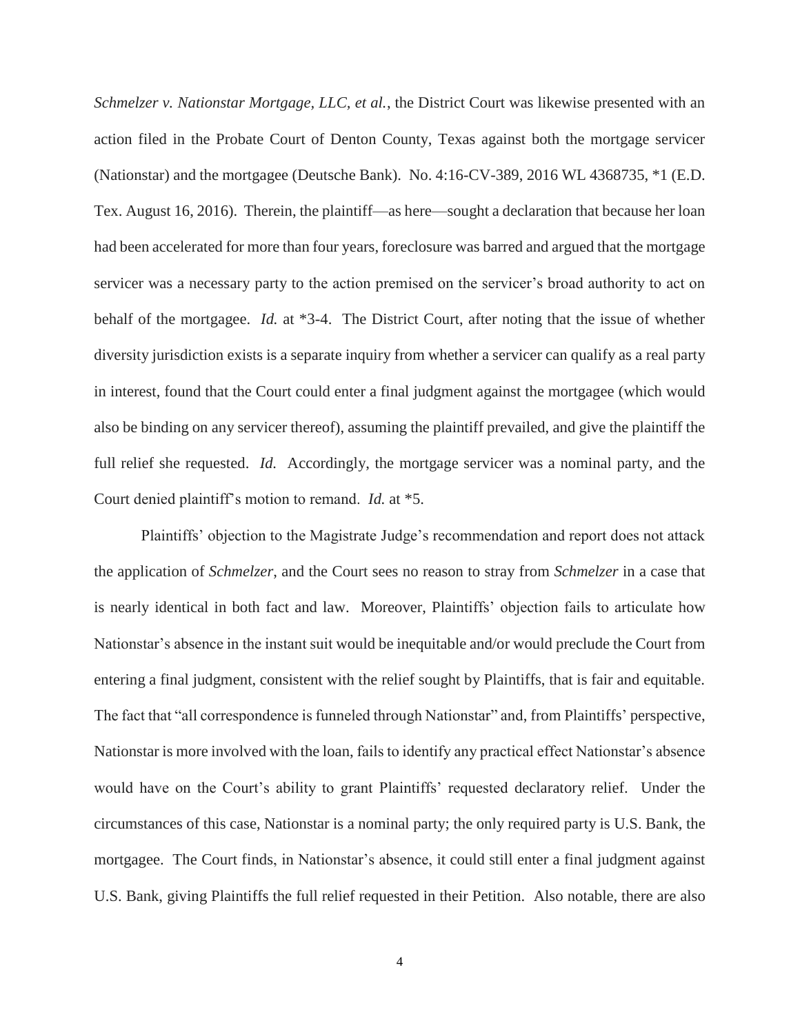*Schmelzer v. Nationstar Mortgage, LLC, et al.*, the District Court was likewise presented with an action filed in the Probate Court of Denton County, Texas against both the mortgage servicer (Nationstar) and the mortgagee (Deutsche Bank). No. 4:16-CV-389, 2016 WL 4368735, \*1 (E.D. Tex. August 16, 2016). Therein, the plaintiff—as here—sought a declaration that because her loan had been accelerated for more than four years, foreclosure was barred and argued that the mortgage servicer was a necessary party to the action premised on the servicer's broad authority to act on behalf of the mortgagee. *Id.* at \*3-4. The District Court, after noting that the issue of whether diversity jurisdiction exists is a separate inquiry from whether a servicer can qualify as a real party in interest, found that the Court could enter a final judgment against the mortgagee (which would also be binding on any servicer thereof), assuming the plaintiff prevailed, and give the plaintiff the full relief she requested. *Id.* Accordingly, the mortgage servicer was a nominal party, and the Court denied plaintiff's motion to remand. *Id.* at \*5.

Plaintiffs' objection to the Magistrate Judge's recommendation and report does not attack the application of *Schmelzer*, and the Court sees no reason to stray from *Schmelzer* in a case that is nearly identical in both fact and law. Moreover, Plaintiffs' objection fails to articulate how Nationstar's absence in the instant suit would be inequitable and/or would preclude the Court from entering a final judgment, consistent with the relief sought by Plaintiffs, that is fair and equitable. The fact that "all correspondence is funneled through Nationstar" and, from Plaintiffs' perspective, Nationstar is more involved with the loan, fails to identify any practical effect Nationstar's absence would have on the Court's ability to grant Plaintiffs' requested declaratory relief. Under the circumstances of this case, Nationstar is a nominal party; the only required party is U.S. Bank, the mortgagee. The Court finds, in Nationstar's absence, it could still enter a final judgment against U.S. Bank, giving Plaintiffs the full relief requested in their Petition. Also notable, there are also